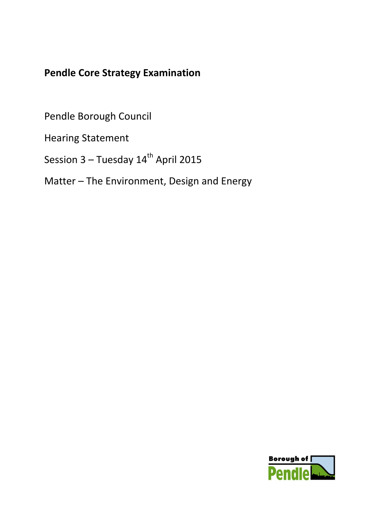## **Pendle Core Strategy Examination**

Pendle Borough Council

Hearing Statement

Session  $3 -$  Tuesday  $14<sup>th</sup>$  April 2015

Matter – The Environment, Design and Energy

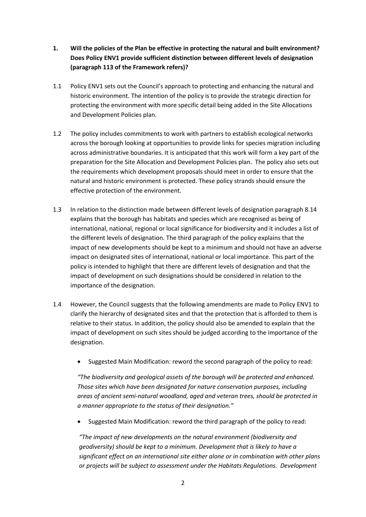- **1. Will the policies of the Plan be effective in protecting the natural and built environment? Does Policy ENV1 provide sufficient distinction between different levels of designation (paragraph 113 of the Framework refers)?**
- 1.1 Policy ENV1 sets out the Council's approach to protecting and enhancing the natural and historic environment. The intention of the policy is to provide the strategic direction for protecting the environment with more specific detail being added in the Site Allocations and Development Policies plan.
- 1.2 The policy includes commitments to work with partners to establish ecological networks across the borough looking at opportunities to provide links for species migration including across administrative boundaries. It is anticipated that this work will form a key part of the preparation for the Site Allocation and Development Policies plan. The policy also sets out the requirements which development proposals should meet in order to ensure that the natural and historic environment is protected. These policy strands should ensure the effective protection of the environment.
- 1.3 In relation to the distinction made between different levels of designation paragraph 8.14 explains that the borough has habitats and species which are recognised as being of international, national, regional or local significance for biodiversity and it includes a list of the different levels of designation. The third paragraph of the policy explains that the impact of new developments should be kept to a minimum and should not have an adverse impact on designated sites of international, national or local importance. This part of the policy is intended to highlight that there are different levels of designation and that the impact of development on such designations should be considered in relation to the importance of the designation.
- 1.4 However, the Council suggests that the following amendments are made to Policy ENV1 to clarify the hierarchy of designated sites and that the protection that is afforded to them is relative to their status. In addition, the policy should also be amended to explain that the impact of development on such sites should be judged according to the importance of the designation.
	- Suggested Main Modification: reword the second paragraph of the policy to read:

*"The biodiversity and geological assets of the borough will be protected and enhanced. Those sites which have been designated for nature conservation purposes, including areas of ancient semi-natural woodland, aged and veteran trees, should be protected in a manner appropriate to the status of their designation."* 

• Suggested Main Modification: reword the third paragraph of the policy to read:

*"The impact of new developments on the natural environment (biodiversity and geodiversity) should be kept to a minimum. Development that is likely to have a significant effect on an international site either alone or in combination with other plans or projects will be subject to assessment under the Habitats Regulations. Development*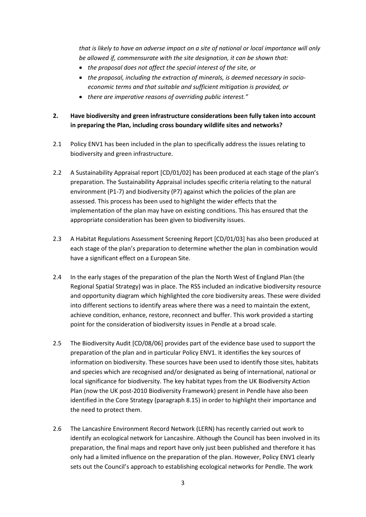*that is likely to have an adverse impact on a site of national or local importance will only be allowed if, commensurate with the site designation, it can be shown that:*

- *the proposal does not affect the special interest of the site, or*
- *the proposal, including the extraction of minerals, is deemed necessary in socioeconomic terms and that suitable and sufficient mitigation is provided, or*
- *there are imperative reasons of overriding public interest."*

## **2. Have biodiversity and green infrastructure considerations been fully taken into account in preparing the Plan, including cross boundary wildlife sites and networks?**

- 2.1 Policy ENV1 has been included in the plan to specifically address the issues relating to biodiversity and green infrastructure.
- 2.2 A Sustainability Appraisal report [CD/01/02] has been produced at each stage of the plan's preparation. The Sustainability Appraisal includes specific criteria relating to the natural environment (P1-7) and biodiversity (P7) against which the policies of the plan are assessed. This process has been used to highlight the wider effects that the implementation of the plan may have on existing conditions. This has ensured that the appropriate consideration has been given to biodiversity issues.
- 2.3 A Habitat Regulations Assessment Screening Report [CD/01/03] has also been produced at each stage of the plan's preparation to determine whether the plan in combination would have a significant effect on a European Site.
- 2.4 In the early stages of the preparation of the plan the North West of England Plan (the Regional Spatial Strategy) was in place. The RSS included an indicative biodiversity resource and opportunity diagram which highlighted the core biodiversity areas. These were divided into different sections to identify areas where there was a need to maintain the extent, achieve condition, enhance, restore, reconnect and buffer. This work provided a starting point for the consideration of biodiversity issues in Pendle at a broad scale.
- 2.5 The Biodiversity Audit [CD/08/06] provides part of the evidence base used to support the preparation of the plan and in particular Policy ENV1. It identifies the key sources of information on biodiversity. These sources have been used to identify those sites, habitats and species which are recognised and/or designated as being of international, national or local significance for biodiversity. The key habitat types from the UK Biodiversity Action Plan (now the UK post-2010 Biodiversity Framework) present in Pendle have also been identified in the Core Strategy (paragraph 8.15) in order to highlight their importance and the need to protect them.
- 2.6 The Lancashire Environment Record Network (LERN) has recently carried out work to identify an ecological network for Lancashire. Although the Council has been involved in its preparation, the final maps and report have only just been published and therefore it has only had a limited influence on the preparation of the plan. However, Policy ENV1 clearly sets out the Council's approach to establishing ecological networks for Pendle. The work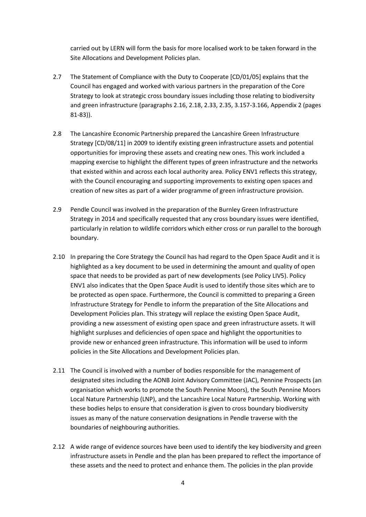carried out by LERN will form the basis for more localised work to be taken forward in the Site Allocations and Development Policies plan.

- 2.7 The Statement of Compliance with the Duty to Cooperate [CD/01/05] explains that the Council has engaged and worked with various partners in the preparation of the Core Strategy to look at strategic cross boundary issues including those relating to biodiversity and green infrastructure (paragraphs 2.16, 2.18, 2.33, 2.35, 3.157-3.166, Appendix 2 (pages 81-83)).
- 2.8 The Lancashire Economic Partnership prepared the Lancashire Green Infrastructure Strategy [CD/08/11] in 2009 to identify existing green infrastructure assets and potential opportunities for improving these assets and creating new ones. This work included a mapping exercise to highlight the different types of green infrastructure and the networks that existed within and across each local authority area. Policy ENV1 reflects this strategy, with the Council encouraging and supporting improvements to existing open spaces and creation of new sites as part of a wider programme of green infrastructure provision.
- 2.9 Pendle Council was involved in the preparation of the Burnley Green Infrastructure Strategy in 2014 and specifically requested that any cross boundary issues were identified, particularly in relation to wildlife corridors which either cross or run parallel to the borough boundary.
- 2.10 In preparing the Core Strategy the Council has had regard to the Open Space Audit and it is highlighted as a key document to be used in determining the amount and quality of open space that needs to be provided as part of new developments (see Policy LIV5). Policy ENV1 also indicates that the Open Space Audit is used to identify those sites which are to be protected as open space. Furthermore, the Council is committed to preparing a Green Infrastructure Strategy for Pendle to inform the preparation of the Site Allocations and Development Policies plan. This strategy will replace the existing Open Space Audit, providing a new assessment of existing open space and green infrastructure assets. It will highlight surpluses and deficiencies of open space and highlight the opportunities to provide new or enhanced green infrastructure. This information will be used to inform policies in the Site Allocations and Development Policies plan.
- 2.11 The Council is involved with a number of bodies responsible for the management of designated sites including the AONB Joint Advisory Committee (JAC), Pennine Prospects (an organisation which works to promote the South Pennine Moors), the South Pennine Moors Local Nature Partnership (LNP), and the Lancashire Local Nature Partnership. Working with these bodies helps to ensure that consideration is given to cross boundary biodiversity issues as many of the nature conservation designations in Pendle traverse with the boundaries of neighbouring authorities.
- 2.12 A wide range of evidence sources have been used to identify the key biodiversity and green infrastructure assets in Pendle and the plan has been prepared to reflect the importance of these assets and the need to protect and enhance them. The policies in the plan provide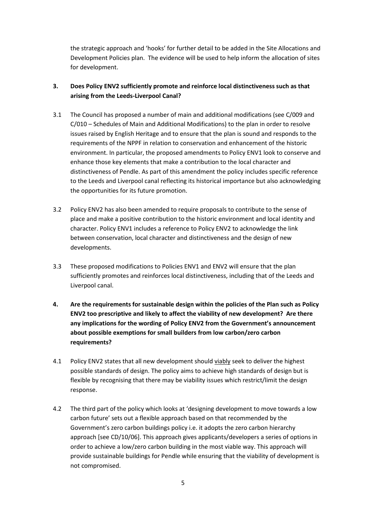the strategic approach and 'hooks' for further detail to be added in the Site Allocations and Development Policies plan. The evidence will be used to help inform the allocation of sites for development.

## **3. Does Policy ENV2 sufficiently promote and reinforce local distinctiveness such as that arising from the Leeds-Liverpool Canal?**

- 3.1 The Council has proposed a number of main and additional modifications (see C/009 and C/010 – Schedules of Main and Additional Modifications) to the plan in order to resolve issues raised by English Heritage and to ensure that the plan is sound and responds to the requirements of the NPPF in relation to conservation and enhancement of the historic environment. In particular, the proposed amendments to Policy ENV1 look to conserve and enhance those key elements that make a contribution to the local character and distinctiveness of Pendle. As part of this amendment the policy includes specific reference to the Leeds and Liverpool canal reflecting its historical importance but also acknowledging the opportunities for its future promotion.
- 3.2 Policy ENV2 has also been amended to require proposals to contribute to the sense of place and make a positive contribution to the historic environment and local identity and character. Policy ENV1 includes a reference to Policy ENV2 to acknowledge the link between conservation, local character and distinctiveness and the design of new developments.
- 3.3 These proposed modifications to Policies ENV1 and ENV2 will ensure that the plan sufficiently promotes and reinforces local distinctiveness, including that of the Leeds and Liverpool canal.
- **4. Are the requirements for sustainable design within the policies of the Plan such as Policy ENV2 too prescriptive and likely to affect the viability of new development? Are there any implications for the wording of Policy ENV2 from the Government's announcement about possible exemptions for small builders from low carbon/zero carbon requirements?**
- 4.1 Policy ENV2 states that all new development should viably seek to deliver the highest possible standards of design. The policy aims to achieve high standards of design but is flexible by recognising that there may be viability issues which restrict/limit the design response.
- 4.2 The third part of the policy which looks at 'designing development to move towards a low carbon future' sets out a flexible approach based on that recommended by the Government's zero carbon buildings policy i.e. it adopts the zero carbon hierarchy approach [see CD/10/06]. This approach gives applicants/developers a series of options in order to achieve a low/zero carbon building in the most viable way. This approach will provide sustainable buildings for Pendle while ensuring that the viability of development is not compromised.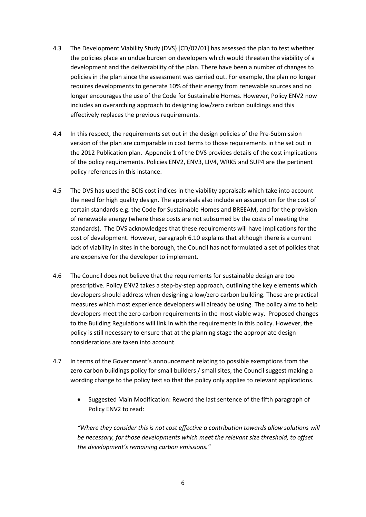- 4.3 The Development Viability Study (DVS) [CD/07/01] has assessed the plan to test whether the policies place an undue burden on developers which would threaten the viability of a development and the deliverability of the plan. There have been a number of changes to policies in the plan since the assessment was carried out. For example, the plan no longer requires developments to generate 10% of their energy from renewable sources and no longer encourages the use of the Code for Sustainable Homes. However, Policy ENV2 now includes an overarching approach to designing low/zero carbon buildings and this effectively replaces the previous requirements.
- 4.4 In this respect, the requirements set out in the design policies of the Pre-Submission version of the plan are comparable in cost terms to those requirements in the set out in the 2012 Publication plan. Appendix 1 of the DVS provides details of the cost implications of the policy requirements. Policies ENV2, ENV3, LIV4, WRK5 and SUP4 are the pertinent policy references in this instance.
- 4.5 The DVS has used the BCIS cost indices in the viability appraisals which take into account the need for high quality design. The appraisals also include an assumption for the cost of certain standards e.g. the Code for Sustainable Homes and BREEAM, and for the provision of renewable energy (where these costs are not subsumed by the costs of meeting the standards). The DVS acknowledges that these requirements will have implications for the cost of development. However, paragraph 6.10 explains that although there is a current lack of viability in sites in the borough, the Council has not formulated a set of policies that are expensive for the developer to implement.
- 4.6 The Council does not believe that the requirements for sustainable design are too prescriptive. Policy ENV2 takes a step-by-step approach, outlining the key elements which developers should address when designing a low/zero carbon building. These are practical measures which most experience developers will already be using. The policy aims to help developers meet the zero carbon requirements in the most viable way. Proposed changes to the Building Regulations will link in with the requirements in this policy. However, the policy is still necessary to ensure that at the planning stage the appropriate design considerations are taken into account.
- 4.7 In terms of the Government's announcement relating to possible exemptions from the zero carbon buildings policy for small builders / small sites, the Council suggest making a wording change to the policy text so that the policy only applies to relevant applications.
	- Suggested Main Modification: Reword the last sentence of the fifth paragraph of Policy ENV2 to read:

*"Where they consider this is not cost effective a contribution towards allow solutions will be necessary, for those developments which meet the relevant size threshold, to offset the development's remaining carbon emissions."*